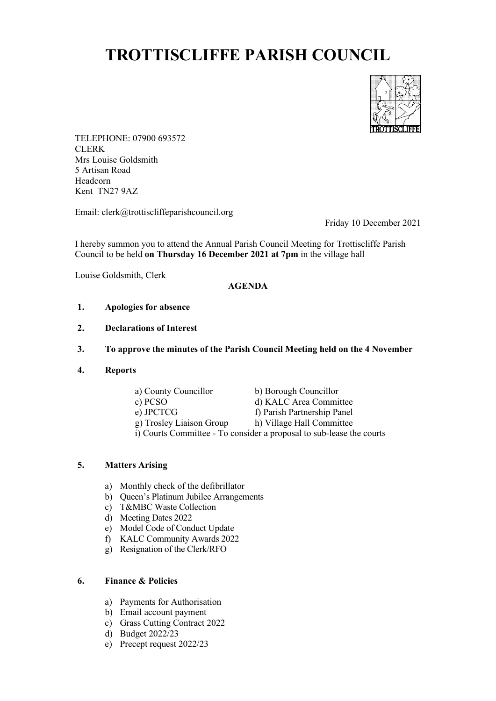# **TROTTISCLIFFE PARISH COUNCIL**



TELEPHONE: 07900 693572 CLERK Mrs Louise Goldsmith 5 Artisan Road Headcorn Kent TN27 9AZ

Email: clerk@trottiscliffeparishcouncil.org

Friday 10 December 2021

I hereby summon you to attend the Annual Parish Council Meeting for Trottiscliffe Parish Council to be held **on Thursday 16 December 2021 at 7pm** in the village hall

Louise Goldsmith, Clerk

#### **AGENDA**

- **1. Apologies for absence**
- **2. Declarations of Interest**
- **3. To approve the minutes of the Parish Council Meeting held on the 4 November**
- **4. Reports**
	- a) County Councillor b) Borough Councillor c) PCSO d) KALC Area Committee e) JPCTCG f) Parish Partnership Panel g) Trosley Liaison Group h) Village Hall Committee i) Courts Committee - To consider a proposal to sub-lease the courts

## **5. Matters Arising**

- a) Monthly check of the defibrillator
- b) Queen's Platinum Jubilee Arrangements
- c) T&MBC Waste Collection
- d) Meeting Dates 2022
- e) Model Code of Conduct Update
- f) KALC Community Awards 2022
- g) Resignation of the Clerk/RFO

## **6. Finance & Policies**

- a) Payments for Authorisation
- b) Email account payment
- c) Grass Cutting Contract 2022
- d) Budget 2022/23
- e) Precept request 2022/23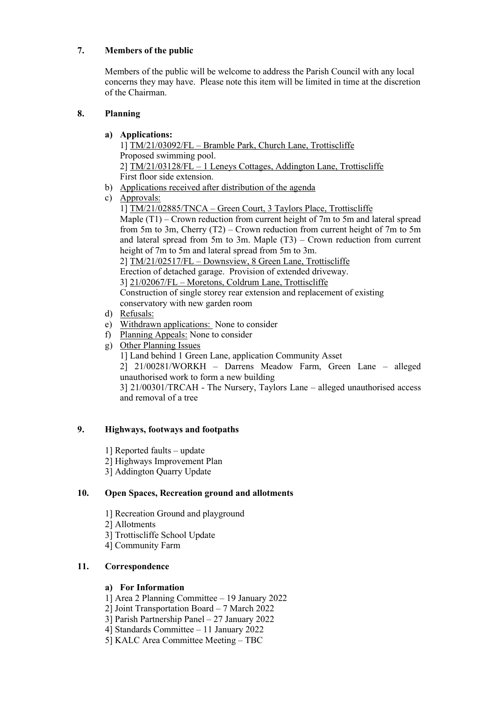## **7. Members of the public**

Members of the public will be welcome to address the Parish Council with any local concerns they may have. Please note this item will be limited in time at the discretion of the Chairman.

## **8. Planning**

## **a) Applications:**

1] TM/21/03092/FL – Bramble Park, Church Lane, Trottiscliffe Proposed swimming pool. 2] TM/21/03128/FL – 1 Leneys Cottages, Addington Lane, Trottiscliffe First floor side extension.

- b) Applications received after distribution of the agenda
- c) Approvals:

1] TM/21/02885/TNCA – Green Court, 3 Taylors Place, Trottiscliffe Maple (T1) – Crown reduction from current height of 7m to 5m and lateral spread from 5m to 3m, Cherry (T2) – Crown reduction from current height of 7m to 5m and lateral spread from 5m to 3m. Maple  $(T3)$  – Crown reduction from current height of 7m to 5m and lateral spread from 5m to 3m.

2] TM/21/02517/FL – Downsview, 8 Green Lane, Trottiscliffe

Erection of detached garage. Provision of extended driveway.

3] 21/02067/FL – Moretons, Coldrum Lane, Trottiscliffe

Construction of single storey rear extension and replacement of existing conservatory with new garden room

- d) Refusals:
- e) Withdrawn applications: None to consider
- f) Planning Appeals: None to consider
- g) Other Planning Issues
	- 1] Land behind 1 Green Lane, application Community Asset
	- 2] 21/00281/WORKH Darrens Meadow Farm, Green Lane alleged unauthorised work to form a new building

3] 21/00301/TRCAH - The Nursery, Taylors Lane – alleged unauthorised access and removal of a tree

## **9. Highways, footways and footpaths**

- 1] Reported faults update
- 2] Highways Improvement Plan
- 3] Addington Quarry Update

## **10. Open Spaces, Recreation ground and allotments**

- 1] Recreation Ground and playground
- 2] Allotments
- 3] Trottiscliffe School Update
- 4] Community Farm

## **11. Correspondence**

## **a) For Information**

- 1] Area 2 Planning Committee 19 January 2022
- 2] Joint Transportation Board 7 March 2022
- 3] Parish Partnership Panel 27 January 2022
- 4] Standards Committee 11 January 2022
- 5] KALC Area Committee Meeting TBC